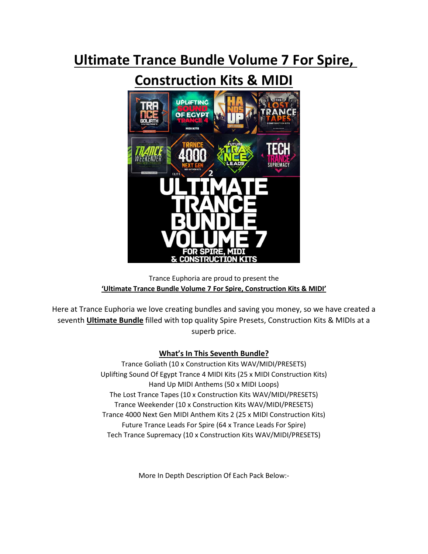# **Ultimate Trance Bundle Volume 7 For Spire,**

# **Construction Kits & MIDI**



Trance Euphoria are proud to present the **'Ultimate Trance Bundle Volume 7 For Spire, Construction Kits & MIDI'**

Here at Trance Euphoria we love creating bundles and saving you money, so we have created a seventh **Ultimate Bundle** filled with top quality Spire Presets, Construction Kits & MIDIs at a superb price.

# **What's In This Seventh Bundle?**

Trance Goliath (10 x Construction Kits WAV/MIDI/PRESETS) Uplifting Sound Of Egypt Trance 4 MIDI Kits (25 x MIDI Construction Kits) Hand Up MIDI Anthems (50 x MIDI Loops) The Lost Trance Tapes (10 x Construction Kits WAV/MIDI/PRESETS) Trance Weekender (10 x Construction Kits WAV/MIDI/PRESETS) Trance 4000 Next Gen MIDI Anthem Kits 2 (25 x MIDI Construction Kits) Future Trance Leads For Spire (64 x Trance Leads For Spire) Tech Trance Supremacy (10 x Construction Kits WAV/MIDI/PRESETS)

More In Depth Description Of Each Pack Below:-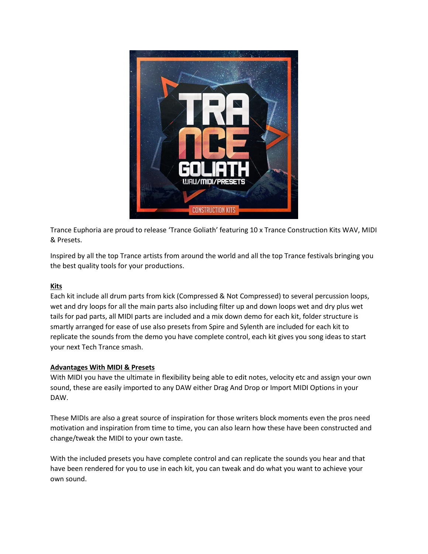

Trance Euphoria are proud to release 'Trance Goliath' featuring 10 x Trance Construction Kits WAV, MIDI & Presets.

Inspired by all the top Trance artists from around the world and all the top Trance festivals bringing you the best quality tools for your productions.

## **Kits**

Each kit include all drum parts from kick (Compressed & Not Compressed) to several percussion loops, wet and dry loops for all the main parts also including filter up and down loops wet and dry plus wet tails for pad parts, all MIDI parts are included and a mix down demo for each kit, folder structure is smartly arranged for ease of use also presets from Spire and Sylenth are included for each kit to replicate the sounds from the demo you have complete control, each kit gives you song ideas to start your next Tech Trance smash.

#### **Advantages With MIDI & Presets**

With MIDI you have the ultimate in flexibility being able to edit notes, velocity etc and assign your own sound, these are easily imported to any DAW either Drag And Drop or Import MIDI Options in your DAW.

These MIDIs are also a great source of inspiration for those writers block moments even the pros need motivation and inspiration from time to time, you can also learn how these have been constructed and change/tweak the MIDI to your own taste.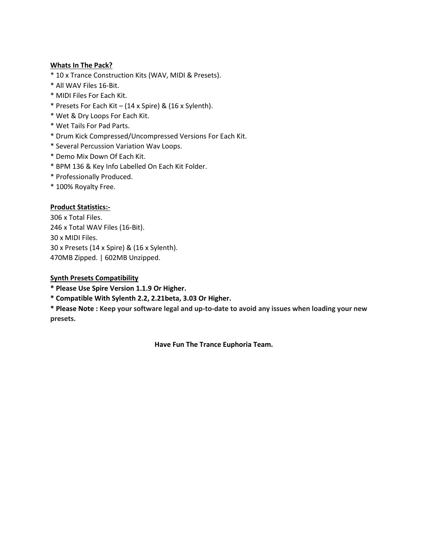- \* 10 x Trance Construction Kits (WAV, MIDI & Presets).
- \* All WAV Files 16-Bit.
- \* MIDI Files For Each Kit.
- \* Presets For Each Kit (14 x Spire) & (16 x Sylenth).
- \* Wet & Dry Loops For Each Kit.
- \* Wet Tails For Pad Parts.
- \* Drum Kick Compressed/Uncompressed Versions For Each Kit.
- \* Several Percussion Variation Wav Loops.
- \* Demo Mix Down Of Each Kit.
- \* BPM 136 & Key Info Labelled On Each Kit Folder.
- \* Professionally Produced.
- \* 100% Royalty Free.

## **Product Statistics:-**

306 x Total Files. 246 x Total WAV Files (16-Bit). 30 x MIDI Files. 30 x Presets (14 x Spire) & (16 x Sylenth). 470MB Zipped. | 602MB Unzipped.

#### **Synth Presets Compatibility**

**\* Please Use Spire Version 1.1.9 Or Higher.**

**\* Compatible With Sylenth 2.2, 2.21beta, 3.03 Or Higher.**

**\* Please Note : Keep your software legal and up-to-date to avoid any issues when loading your new presets.**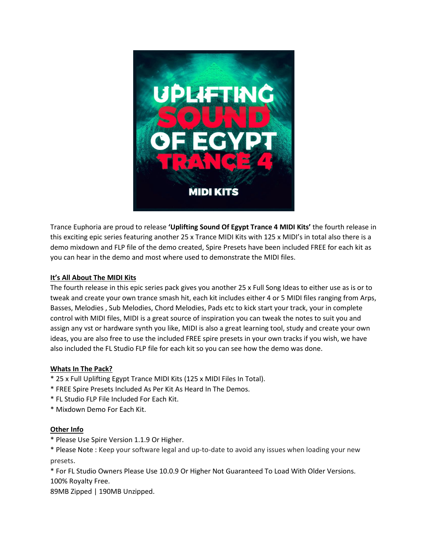

Trance Euphoria are proud to release **'Uplifting Sound Of Egypt Trance 4 MIDI Kits'** the fourth release in this exciting epic series featuring another 25 x Trance MIDI Kits with 125 x MIDI's in total also there is a demo mixdown and FLP file of the demo created, Spire Presets have been included FREE for each kit as you can hear in the demo and most where used to demonstrate the MIDI files.

## **It's All About The MIDI Kits**

The fourth release in this epic series pack gives you another 25 x Full Song Ideas to either use as is or to tweak and create your own trance smash hit, each kit includes either 4 or 5 MIDI files ranging from Arps, Basses, Melodies , Sub Melodies, Chord Melodies, Pads etc to kick start your track, your in complete control with MIDI files, MIDI is a great source of inspiration you can tweak the notes to suit you and assign any vst or hardware synth you like, MIDI is also a great learning tool, study and create your own ideas, you are also free to use the included FREE spire presets in your own tracks if you wish, we have also included the FL Studio FLP file for each kit so you can see how the demo was done.

## **Whats In The Pack?**

- \* 25 x Full Uplifting Egypt Trance MIDI Kits (125 x MIDI Files In Total).
- \* FREE Spire Presets Included As Per Kit As Heard In The Demos.
- \* FL Studio FLP File Included For Each Kit.
- \* Mixdown Demo For Each Kit.

#### **Other Info**

\* Please Use Spire Version 1.1.9 Or Higher.

\* Please Note : Keep your software legal and up-to-date to avoid any issues when loading your new presets.

\* For FL Studio Owners Please Use 10.0.9 Or Higher Not Guaranteed To Load With Older Versions. 100% Royalty Free.

89MB Zipped | 190MB Unzipped.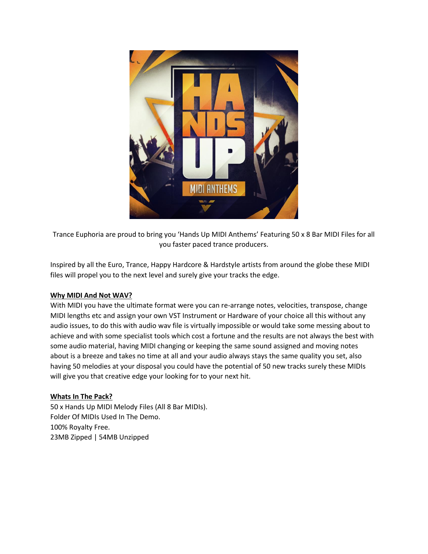

Trance Euphoria are proud to bring you 'Hands Up MIDI Anthems' Featuring 50 x 8 Bar MIDI Files for all you faster paced trance producers.

Inspired by all the Euro, Trance, Happy Hardcore & Hardstyle artists from around the globe these MIDI files will propel you to the next level and surely give your tracks the edge.

#### **Why MIDI And Not WAV?**

With MIDI you have the ultimate format were you can re-arrange notes, velocities, transpose, change MIDI lengths etc and assign your own VST Instrument or Hardware of your choice all this without any audio issues, to do this with audio wav file is virtually impossible or would take some messing about to achieve and with some specialist tools which cost a fortune and the results are not always the best with some audio material, having MIDI changing or keeping the same sound assigned and moving notes about is a breeze and takes no time at all and your audio always stays the same quality you set, also having 50 melodies at your disposal you could have the potential of 50 new tracks surely these MIDIs will give you that creative edge your looking for to your next hit.

#### **Whats In The Pack?**

50 x Hands Up MIDI Melody Files (All 8 Bar MIDIs). Folder Of MIDIs Used In The Demo. 100% Royalty Free. 23MB Zipped | 54MB Unzipped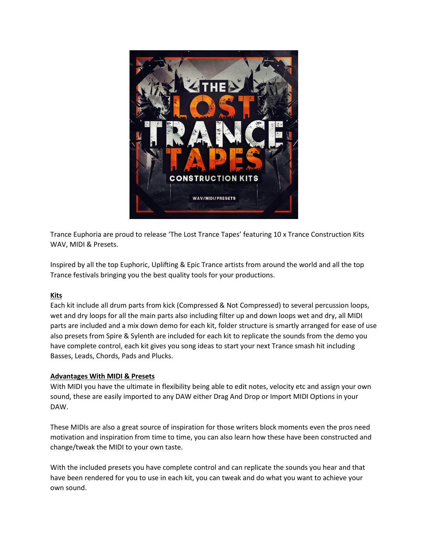

Trance Euphoria are proud to release 'The Lost Trance Tapes' featuring 10 x Trance Construction Kits WAV, MIDI & Presets.

Inspired by all the top Euphoric, Uplifting & Epic Trance artists from around the world and all the top Trance festivals bringing you the best quality tools for your productions.

#### **Kits**

Each kit include all drum parts from kick (Compressed & Not Compressed) to several percussion loops, wet and dry loops for all the main parts also including filter up and down loops wet and dry, all MIDI parts are included and a mix down demo for each kit, folder structure is smartly arranged for ease of use also presets from Spire & Sylenth are included for each kit to replicate the sounds from the demo you have complete control, each kit gives you song ideas to start your next Trance smash hit including Basses, Leads, Chords, Pads and Plucks.

#### **Advantages With MIDI & Presets**

With MIDI you have the ultimate in flexibility being able to edit notes, velocity etc and assign your own sound, these are easily imported to any DAW either Drag And Drop or Import MIDI Options in your DAW.

These MIDIs are also a great source of inspiration for those writers block moments even the pros need motivation and inspiration from time to time, you can also learn how these have been constructed and change/tweak the MIDI to your own taste.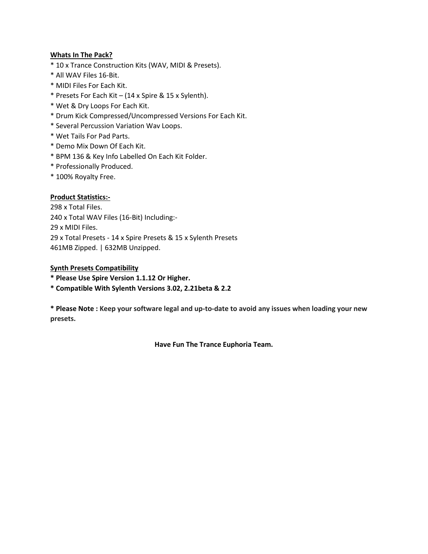- \* 10 x Trance Construction Kits (WAV, MIDI & Presets).
- \* All WAV Files 16-Bit.
- \* MIDI Files For Each Kit.
- \* Presets For Each Kit (14 x Spire & 15 x Sylenth).
- \* Wet & Dry Loops For Each Kit.
- \* Drum Kick Compressed/Uncompressed Versions For Each Kit.
- \* Several Percussion Variation Wav Loops.
- \* Wet Tails For Pad Parts.
- \* Demo Mix Down Of Each Kit.
- \* BPM 136 & Key Info Labelled On Each Kit Folder.
- \* Professionally Produced.
- \* 100% Royalty Free.

## **Product Statistics:-**

298 x Total Files. 240 x Total WAV Files (16-Bit) Including:- 29 x MIDI Files. 29 x Total Presets - 14 x Spire Presets & 15 x Sylenth Presets 461MB Zipped. | 632MB Unzipped.

#### **Synth Presets Compatibility**

- **\* Please Use Spire Version 1.1.12 Or Higher.**
- **\* Compatible With Sylenth Versions 3.02, 2.21beta & 2.2**

**\* Please Note : Keep your software legal and up-to-date to avoid any issues when loading your new presets.**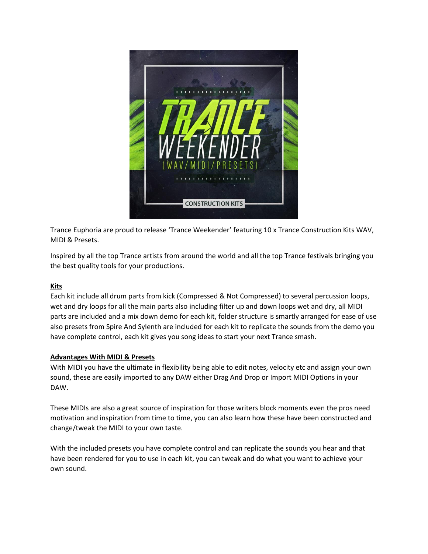

Trance Euphoria are proud to release 'Trance Weekender' featuring 10 x Trance Construction Kits WAV, MIDI & Presets.

Inspired by all the top Trance artists from around the world and all the top Trance festivals bringing you the best quality tools for your productions.

## **Kits**

Each kit include all drum parts from kick (Compressed & Not Compressed) to several percussion loops, wet and dry loops for all the main parts also including filter up and down loops wet and dry, all MIDI parts are included and a mix down demo for each kit, folder structure is smartly arranged for ease of use also presets from Spire And Sylenth are included for each kit to replicate the sounds from the demo you have complete control, each kit gives you song ideas to start your next Trance smash.

#### **Advantages With MIDI & Presets**

With MIDI you have the ultimate in flexibility being able to edit notes, velocity etc and assign your own sound, these are easily imported to any DAW either Drag And Drop or Import MIDI Options in your DAW.

These MIDIs are also a great source of inspiration for those writers block moments even the pros need motivation and inspiration from time to time, you can also learn how these have been constructed and change/tweak the MIDI to your own taste.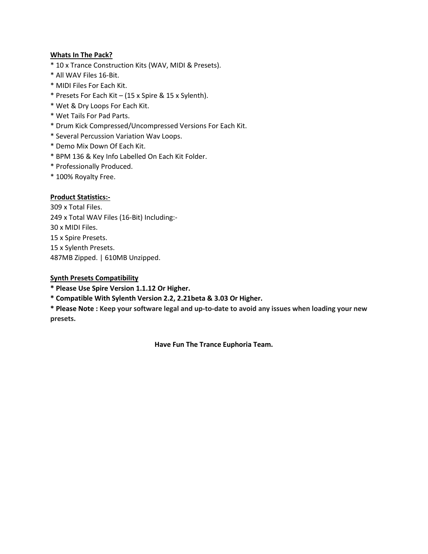- \* 10 x Trance Construction Kits (WAV, MIDI & Presets).
- \* All WAV Files 16-Bit.
- \* MIDI Files For Each Kit.
- \* Presets For Each Kit (15 x Spire & 15 x Sylenth).
- \* Wet & Dry Loops For Each Kit.
- \* Wet Tails For Pad Parts.
- \* Drum Kick Compressed/Uncompressed Versions For Each Kit.
- \* Several Percussion Variation Wav Loops.
- \* Demo Mix Down Of Each Kit.
- \* BPM 136 & Key Info Labelled On Each Kit Folder.
- \* Professionally Produced.
- \* 100% Royalty Free.

## **Product Statistics:-**

 x Total Files. x Total WAV Files (16-Bit) Including:- x MIDI Files. x Spire Presets. 15 x Sylenth Presets. 487MB Zipped. | 610MB Unzipped.

#### **Synth Presets Compatibility**

**\* Please Use Spire Version 1.1.12 Or Higher.**

**\* Compatible With Sylenth Version 2.2, 2.21beta & 3.03 Or Higher.**

**\* Please Note : Keep your software legal and up-to-date to avoid any issues when loading your new presets.**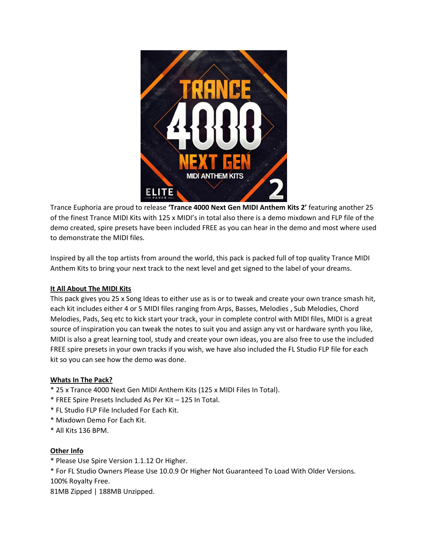

Trance Euphoria are proud to release **'Trance 4000 Next Gen MIDI Anthem Kits 2'** featuring another 25 of the finest Trance MIDI Kits with 125 x MIDI's in total also there is a demo mixdown and FLP file of the demo created, spire presets have been included FREE as you can hear in the demo and most where used to demonstrate the MIDI files.

Inspired by all the top artists from around the world, this pack is packed full of top quality Trance MIDI Anthem Kits to bring your next track to the next level and get signed to the label of your dreams.

## **It All About The MIDI Kits**

This pack gives you 25 x Song Ideas to either use as is or to tweak and create your own trance smash hit, each kit includes either 4 or 5 MIDI files ranging from Arps, Basses, Melodies , Sub Melodies, Chord Melodies, Pads, Seq etc to kick start your track, your in complete control with MIDI files, MIDI is a great source of inspiration you can tweak the notes to suit you and assign any vst or hardware synth you like, MIDI is also a great learning tool, study and create your own ideas, you are also free to use the included FREE spire presets in your own tracks if you wish, we have also included the FL Studio FLP file for each kit so you can see how the demo was done.

## **Whats In The Pack?**

- \* 25 x Trance 4000 Next Gen MIDI Anthem Kits (125 x MIDI Files In Total).
- \* FREE Spire Presets Included As Per Kit 125 In Total.
- \* FL Studio FLP File Included For Each Kit.
- \* Mixdown Demo For Each Kit.
- \* All Kits 136 BPM.

#### **Other Info**

\* Please Use Spire Version 1.1.12 Or Higher.

\* For FL Studio Owners Please Use 10.0.9 Or Higher Not Guaranteed To Load With Older Versions. 100% Royalty Free.

81MB Zipped | 188MB Unzipped.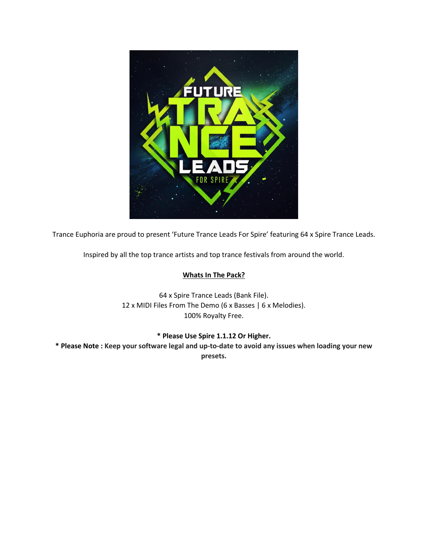

Trance Euphoria are proud to present 'Future Trance Leads For Spire' featuring 64 x Spire Trance Leads.

Inspired by all the top trance artists and top trance festivals from around the world.

## **Whats In The Pack?**

64 x Spire Trance Leads (Bank File). 12 x MIDI Files From The Demo (6 x Basses | 6 x Melodies). 100% Royalty Free.

## **\* Please Use Spire 1.1.12 Or Higher.**

**\* Please Note : Keep your software legal and up-to-date to avoid any issues when loading your new presets.**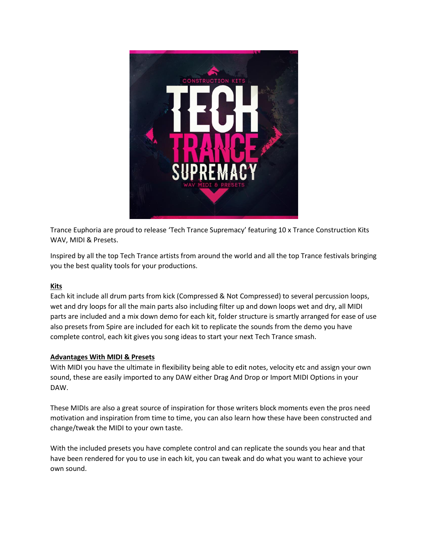

Trance Euphoria are proud to release 'Tech Trance Supremacy' featuring 10 x Trance Construction Kits WAV, MIDI & Presets.

Inspired by all the top Tech Trance artists from around the world and all the top Trance festivals bringing you the best quality tools for your productions.

#### **Kits**

Each kit include all drum parts from kick (Compressed & Not Compressed) to several percussion loops, wet and dry loops for all the main parts also including filter up and down loops wet and dry, all MIDI parts are included and a mix down demo for each kit, folder structure is smartly arranged for ease of use also presets from Spire are included for each kit to replicate the sounds from the demo you have complete control, each kit gives you song ideas to start your next Tech Trance smash.

#### **Advantages With MIDI & Presets**

With MIDI you have the ultimate in flexibility being able to edit notes, velocity etc and assign your own sound, these are easily imported to any DAW either Drag And Drop or Import MIDI Options in your DAW.

These MIDIs are also a great source of inspiration for those writers block moments even the pros need motivation and inspiration from time to time, you can also learn how these have been constructed and change/tweak the MIDI to your own taste.